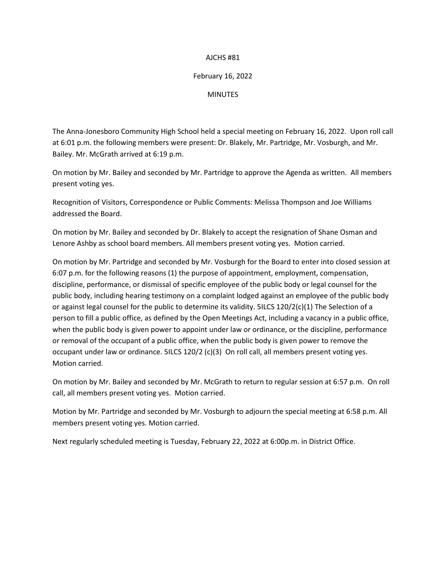# AJCHS #81

# February 16, 2022

**MINUTES** 

The Anna-Jonesboro Community High School held a special meeting on February 16, 2022. Upon roll call at 6:01 p.m. the following members were present: Dr. Blakely, Mr. Partridge, Mr. Vosburgh, and Mr. Bailey. Mr. McGrath arrived at 6:19 p.m.

On motion by Mr. Bailey and seconded by Mr. Partridge to approve the Agenda as written. All members present voting yes.

Recognition of Visitors, Correspondence or Public Comments: Melissa Thompson and Joe Williams addressed the Board.

On motion by Mr. Bailey and seconded by Dr. Blakely to accept the resignation of Shane Osman and Lenore Ashby as school board members. All members present voting yes. Motion carried.

On motion by Mr. Partridge and seconded by Mr. Vosburgh for the Board to enter into closed session at 6:07 p.m. for the following reasons (1) the purpose of appointment, employment, compensation, discipline, performance, or dismissal of specific employee of the public body or legal counsel for the public body, including hearing testimony on a complaint lodged against an employee of the public body or against legal counsel for the public to determine its validity. 5ILCS 120/2(c)(1) The Selection of a person to fill a public office, as defined by the Open Meetings Act, including a vacancy in a public office, when the public body is given power to appoint under law or ordinance, or the discipline, performance or removal of the occupant of a public office, when the public body is given power to remove the occupant under law or ordinance. 5ILCS 120/2 (c)(3) On roll call, all members present voting yes. Motion carried.

On motion by Mr. Bailey and seconded by Mr. McGrath to return to regular session at 6:57 p.m. On roll call, all members present voting yes. Motion carried.

Motion by Mr. Partridge and seconded by Mr. Vosburgh to adjourn the special meeting at 6:58 p.m. All members present voting yes. Motion carried.

Next regularly scheduled meeting is Tuesday, February 22, 2022 at 6:00p.m. in District Office.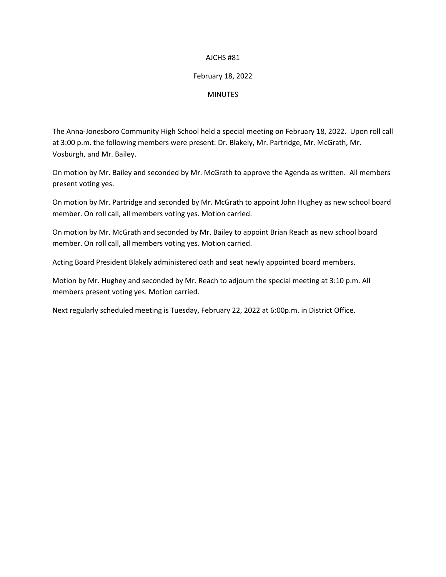# AJCHS #81

# February 18, 2022

## **MINUTES**

The Anna-Jonesboro Community High School held a special meeting on February 18, 2022. Upon roll call at 3:00 p.m. the following members were present: Dr. Blakely, Mr. Partridge, Mr. McGrath, Mr. Vosburgh, and Mr. Bailey.

On motion by Mr. Bailey and seconded by Mr. McGrath to approve the Agenda as written. All members present voting yes.

On motion by Mr. Partridge and seconded by Mr. McGrath to appoint John Hughey as new school board member. On roll call, all members voting yes. Motion carried.

On motion by Mr. McGrath and seconded by Mr. Bailey to appoint Brian Reach as new school board member. On roll call, all members voting yes. Motion carried.

Acting Board President Blakely administered oath and seat newly appointed board members.

Motion by Mr. Hughey and seconded by Mr. Reach to adjourn the special meeting at 3:10 p.m. All members present voting yes. Motion carried.

Next regularly scheduled meeting is Tuesday, February 22, 2022 at 6:00p.m. in District Office.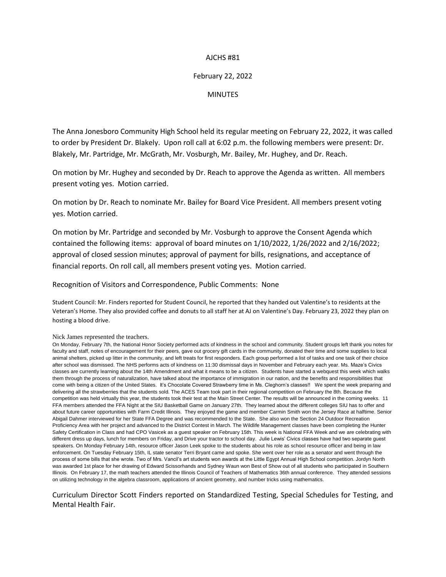## AJCHS #81

## February 22, 2022

#### **MINUTES**

The Anna Jonesboro Community High School held its regular meeting on February 22, 2022, it was called to order by President Dr. Blakely. Upon roll call at 6:02 p.m. the following members were present: Dr. Blakely, Mr. Partridge, Mr. McGrath, Mr. Vosburgh, Mr. Bailey, Mr. Hughey, and Dr. Reach.

On motion by Mr. Hughey and seconded by Dr. Reach to approve the Agenda as written. All members present voting yes. Motion carried.

On motion by Dr. Reach to nominate Mr. Bailey for Board Vice President. All members present voting yes. Motion carried.

On motion by Mr. Partridge and seconded by Mr. Vosburgh to approve the Consent Agenda which contained the following items: approval of board minutes on 1/10/2022, 1/26/2022 and 2/16/2022; approval of closed session minutes; approval of payment for bills, resignations, and acceptance of financial reports. On roll call, all members present voting yes. Motion carried.

Recognition of Visitors and Correspondence, Public Comments: None

Student Council: Mr. Finders reported for Student Council, he reported that they handed out Valentine's to residents at the Veteran's Home. They also provided coffee and donuts to all staff her at AJ on Valentine's Day. February 23, 2022 they plan on hosting a blood drive.

#### Nick James represented the teachers.

On Monday, February 7th, the National Honor Society performed acts of kindness in the school and community. Student groups left thank you notes for faculty and staff, notes of encouragement for their peers, gave out grocery gift cards in the community, donated their time and some supplies to local animal shelters, picked up litter in the community, and left treats for first responders. Each group performed a list of tasks and one task of their choice after school was dismissed. The NHS performs acts of kindness on 11:30 dismissal days in November and February each year. Ms. Maze's Civics classes are currently learning about the 14th Amendment and what it means to be a citizen. Students have started a webquest this week which walks them through the process of naturalization, have talked about the importance of immigration in our nation, and the benefits and responsibilities that come with being a citizen of the United States. It's Chocolate Covered Strawberry time in Ms. Cleghorn's classes!! We spent the week preparing and delivering all the strawberries that the students sold. The ACES Team took part in their regional competition on February the 8th. Because the competition was held virtually this year, the students took their test at the Main Street Center. The results will be announced in the coming weeks. 11 FFA members attended the FFA Night at the SIU Basketball Game on January 27th. They learned about the different colleges SIU has to offer and about future career opportunities with Farm Credit Illinois. They enjoyed the game and member Carmin Smith won the Jersey Race at halftime. Senior Abigail Dahmer interviewed for her State FFA Degree and was recommended to the State. She also won the Section 24 Outdoor Recreation Proficiency Area with her project and advanced to the District Contest in March. The Wildlife Management classes have been completing the Hunter Safety Certification in Class and had CPO Vasicek as a guest speaker on February 15th. This week is National FFA Week and we are celebrating with different dress up days, lunch for members on Friday, and Drive your tractor to school day. Julie Lewis' Civics classes have had two separate guest speakers. On Monday February 14th, resource officer Jason Leek spoke to the students about his role as school resource officer and being in law enforcement. On Tuesday February 15th, IL state senator Terri Bryant came and spoke. She went over her role as a senator and went through the process of some bills that she wrote. Two of Mrs. Vancil's art students won awards at the Little Egypt Annual High School competition. Jordyn North was awarded 1st place for her drawing of Edward Scissorhands and Sydney Waun won Best of Show out of all students who participated in Southern Illinois. On February 17, the math teachers attended the Illinois Council of Teachers of Mathematics 36th annual conference. They attended sessions on utilizing technology in the algebra classroom, applications of ancient geometry, and number tricks using mathematics.

Curriculum Director Scott Finders reported on Standardized Testing, Special Schedules for Testing, and Mental Health Fair.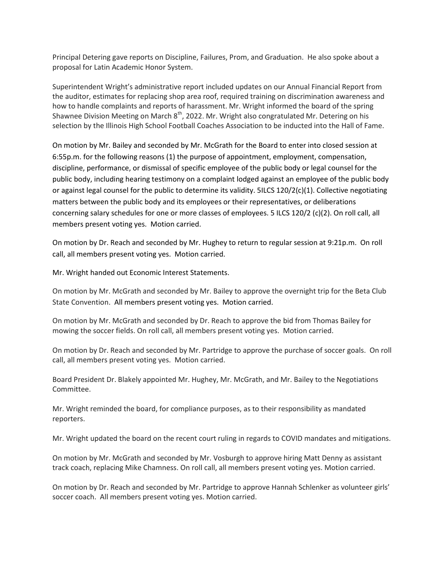Principal Detering gave reports on Discipline, Failures, Prom, and Graduation. He also spoke about a proposal for Latin Academic Honor System.

Superintendent Wright's administrative report included updates on our Annual Financial Report from the auditor, estimates for replacing shop area roof, required training on discrimination awareness and how to handle complaints and reports of harassment. Mr. Wright informed the board of the spring Shawnee Division Meeting on March  $8<sup>th</sup>$ , 2022. Mr. Wright also congratulated Mr. Detering on his selection by the Illinois High School Football Coaches Association to be inducted into the Hall of Fame.

On motion by Mr. Bailey and seconded by Mr. McGrath for the Board to enter into closed session at 6:55p.m. for the following reasons (1) the purpose of appointment, employment, compensation, discipline, performance, or dismissal of specific employee of the public body or legal counsel for the public body, including hearing testimony on a complaint lodged against an employee of the public body or against legal counsel for the public to determine its validity. 5ILCS 120/2(c)(1). Collective negotiating matters between the public body and its employees or their representatives, or deliberations concerning salary schedules for one or more classes of employees. 5 ILCS 120/2 (c)(2). On roll call, all members present voting yes. Motion carried.

On motion by Dr. Reach and seconded by Mr. Hughey to return to regular session at 9:21p.m. On roll call, all members present voting yes. Motion carried.

Mr. Wright handed out Economic Interest Statements.

On motion by Mr. McGrath and seconded by Mr. Bailey to approve the overnight trip for the Beta Club State Convention. All members present voting yes. Motion carried.

On motion by Mr. McGrath and seconded by Dr. Reach to approve the bid from Thomas Bailey for mowing the soccer fields. On roll call, all members present voting yes. Motion carried.

On motion by Dr. Reach and seconded by Mr. Partridge to approve the purchase of soccer goals. On roll call, all members present voting yes. Motion carried.

Board President Dr. Blakely appointed Mr. Hughey, Mr. McGrath, and Mr. Bailey to the Negotiations Committee.

Mr. Wright reminded the board, for compliance purposes, as to their responsibility as mandated reporters.

Mr. Wright updated the board on the recent court ruling in regards to COVID mandates and mitigations.

On motion by Mr. McGrath and seconded by Mr. Vosburgh to approve hiring Matt Denny as assistant track coach, replacing Mike Chamness. On roll call, all members present voting yes. Motion carried.

On motion by Dr. Reach and seconded by Mr. Partridge to approve Hannah Schlenker as volunteer girls' soccer coach. All members present voting yes. Motion carried.